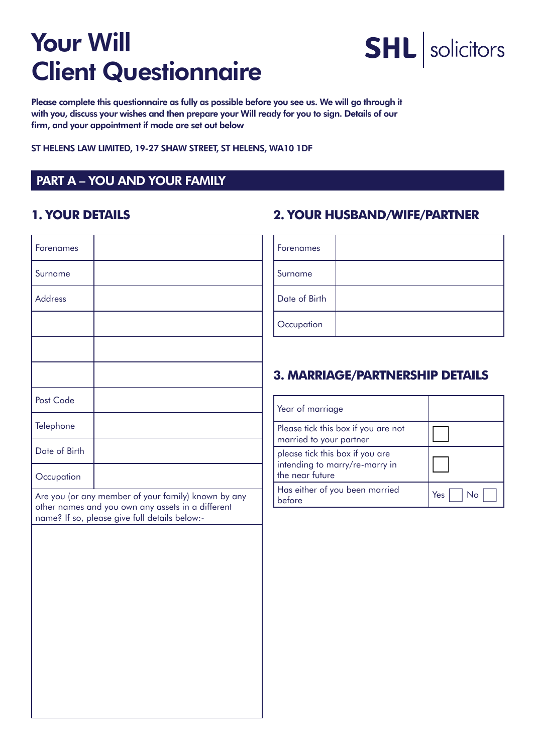

Please complete this questionnaire as fully as possible before you see us. We will go through it with you, discuss your wishes and then prepare your Will ready for you to sign. Details of our firm, and your appointment if made are set out below

ST HELENS LAW LIMITED, 19-27 SHAW STREET, ST HELENS, WA10 1DF

#### PART A – YOU AND YOUR FAMILY

#### **1. YOUR DETAILS**

| Forenames      |                                                                                                                                                           |
|----------------|-----------------------------------------------------------------------------------------------------------------------------------------------------------|
| Surname        |                                                                                                                                                           |
| <b>Address</b> |                                                                                                                                                           |
|                |                                                                                                                                                           |
|                |                                                                                                                                                           |
|                |                                                                                                                                                           |
| Post Code      |                                                                                                                                                           |
| Telephone      |                                                                                                                                                           |
| Date of Birth  |                                                                                                                                                           |
| Occupation     |                                                                                                                                                           |
|                | Are you (or any member of your family) known by any<br>other names and you own any assets in a different<br>name? If so, please give full details below:- |
|                |                                                                                                                                                           |
|                |                                                                                                                                                           |
|                |                                                                                                                                                           |
|                |                                                                                                                                                           |
|                |                                                                                                                                                           |
|                |                                                                                                                                                           |
|                |                                                                                                                                                           |
|                |                                                                                                                                                           |

#### **2. YOUR HUSBAND/WIFE/PARTNER**

| Forenames     |  |
|---------------|--|
| Surname       |  |
| Date of Birth |  |
| Occupation    |  |

#### **3. MARRIAGE/PARTNERSHIP DETAILS**

| Year of marriage                                                                     |     |
|--------------------------------------------------------------------------------------|-----|
| Please tick this box if you are not<br>married to your partner                       |     |
| please tick this box if you are<br>intending to marry/re-marry in<br>the near future |     |
| Has either of you been married<br>before                                             | Yes |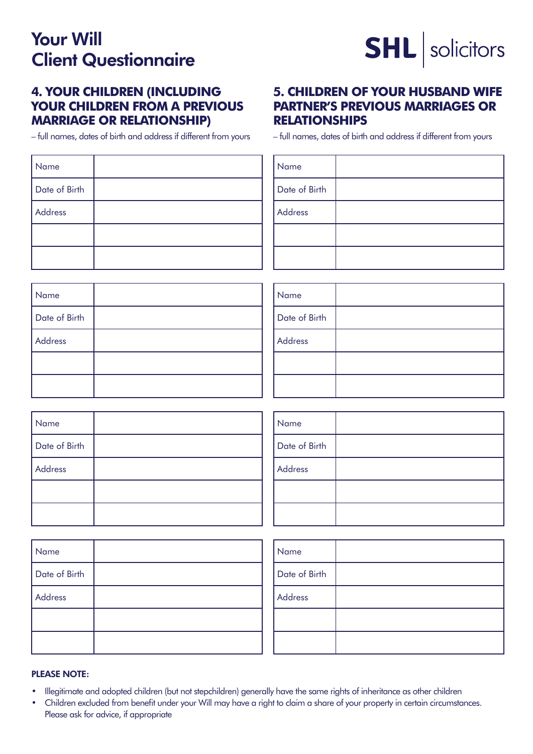

#### **4. YOUR CHILDREN (INCLUDING YOUR CHILDREN FROM A PREVIOUS MARRIAGE OR RELATIONSHIP)**

– full names, dates of birth and address if different from yours

#### **5. CHILDREN OF YOUR HUSBAND WIFE PARTNER'S PREVIOUS MARRIAGES OR RELATIONSHIPS**

– full names, dates of birth and address if different from yours

| Name          | Name          |
|---------------|---------------|
| Date of Birth | Date of Birth |
| Address       | Address       |
|               |               |
|               |               |

| Name          | Name          |
|---------------|---------------|
| Date of Birth | Date of Birth |
| Address       | Address       |
|               |               |
|               |               |

| Name          | Name          |
|---------------|---------------|
| Date of Birth | Date of Birth |
| Address       | Address       |
|               |               |
|               |               |

| Name          |  |
|---------------|--|
| Date of Birth |  |
| Address       |  |
|               |  |
|               |  |

| Name          |  |
|---------------|--|
| Date of Birth |  |
| Address       |  |
|               |  |
|               |  |

#### PLEASE NOTE:

- • Illegitimate and adopted children (but not stepchildren) generally have the same rights of inheritance as other children
- Children excluded from benefit under your Will may have a right to claim a share of your property in certain circumstances. Please ask for advice, if appropriate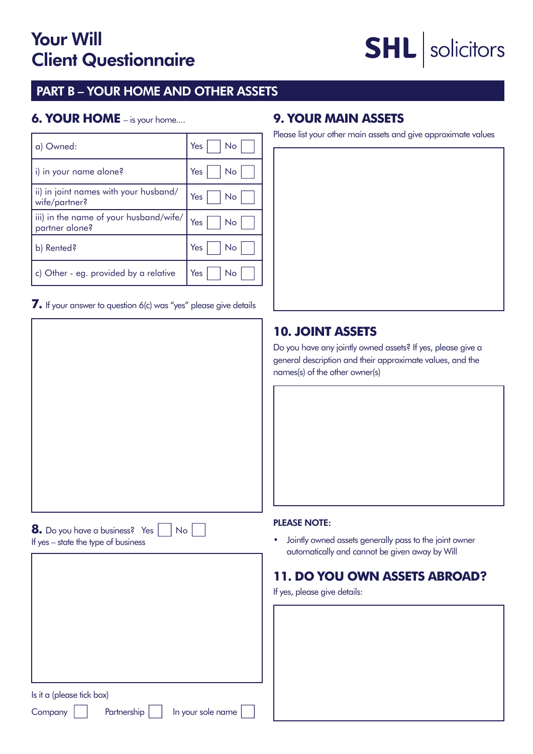# **SHL** solicitors

#### PART B – YOUR HOME AND OTHER ASSETS

#### **6. YOUR HOME** – is your home....

| a) Owned:                                                | Yes<br>No |
|----------------------------------------------------------|-----------|
| i) in your name alone?                                   | Yes<br>No |
| ii) in joint names with your husband/<br>wife/partner?   | Yes<br>No |
| iii) in the name of your husband/wife/<br>partner alone? | Yes<br>No |
| b) Rented?                                               | Yes<br>No |
| c) Other - eg. provided by a relative                    | Yes<br>No |
|                                                          |           |

**7.** If your answer to question 6(c) was "yes" please give details

#### **9. YOUR MAIN ASSETS**

Please list your other main assets and give approximate values

#### **10. JOINT ASSETS**

Do you have any jointly owned assets? If yes, please give a general description and their approximate values, and the names(s) of the other owner(s)

#### PLEASE NOTE:

• Jointly owned assets generally pass to the joint owner automatically and cannot be given away by Will

#### **11. DO YOU OWN ASSETS ABROAD?**

If yes, please give details:

Is it a (please tick box)

**8.** Do you have a business? Yes | No

If yes – state the type of business

Company | | Partnership | | In your sole name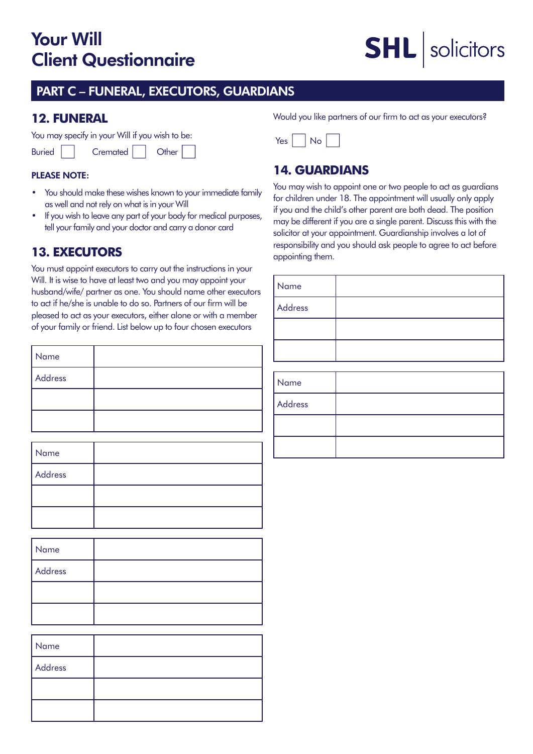## **SHL** solicitors

#### PART C – FUNERAL, EXECUTORS, GUARDIANS

#### **12. FUNERAL**

You may specify in your Will if you wish to be:

| <b>Buried</b> |  | Cremated |  | Other |
|---------------|--|----------|--|-------|
|---------------|--|----------|--|-------|

#### PLEASE NOTE:

- You should make these wishes known to your immediate family as well and not rely on what is in your Will
- If you wish to leave any part of your body for medical purposes, tell your family and your doctor and carry a donor card

#### **13. EXECUTORS**

You must appoint executors to carry out the instructions in your Will. It is wise to have at least two and you may appoint your husband/wife/ partner as one. You should name other executors to act if he/she is unable to do so. Partners of our firm will be pleased to act as your executors, either alone or with a member of your family or friend. List below up to four chosen executors

| Name    |  |
|---------|--|
| Address |  |
|         |  |
|         |  |

| Name    |  |
|---------|--|
| Address |  |
|         |  |
|         |  |

| Name    |  |
|---------|--|
| Address |  |
|         |  |
|         |  |

| Name    |  |
|---------|--|
| Address |  |
|         |  |
|         |  |

Would you like partners of our firm to act as your executors?



#### **14. GUARDIANS**

You may wish to appoint one or two people to act as guardians for children under 18. The appointment will usually only apply if you and the child's other parent are both dead. The position may be different if you are a single parent. Discuss this with the solicitor at your appointment. Guardianship involves a lot of responsibility and you should ask people to agree to act before appointing them.

| Name    |  |
|---------|--|
| Address |  |
|         |  |
|         |  |
|         |  |
| Name    |  |
| Address |  |
|         |  |
|         |  |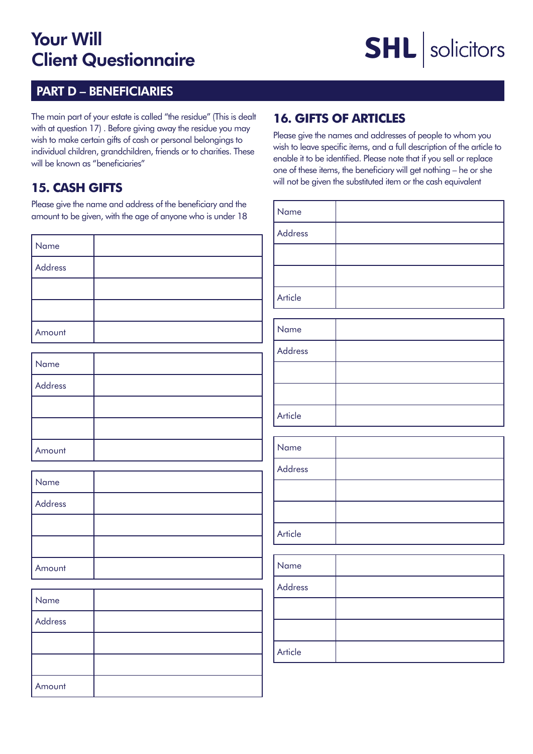### **SHL** solicitors

#### PART D – BENEFICIARIES

The main part of your estate is called "the residue" (This is dealt with at question 17) . Before giving away the residue you may wish to make certain gifts of cash or personal belongings to individual children, grandchildren, friends or to charities. These will be known as "beneficiaries"

#### **15. CASH GIFTS**

Please give the name and address of the beneficiary and the amount to be given, with the age of anyone who is under 18

| Name    |  |
|---------|--|
| Address |  |
|         |  |
|         |  |
| Amount  |  |

| Name    |  |
|---------|--|
| Address |  |
|         |  |
|         |  |
| Amount  |  |

| Name    |  |
|---------|--|
| Address |  |
|         |  |
|         |  |
| Amount  |  |

| Name    |  |
|---------|--|
| Address |  |
|         |  |
|         |  |
| Amount  |  |

#### **16. GIFTS OF ARTICLES**

Please give the names and addresses of people to whom you wish to leave specific items, and a full description of the article to enable it to be identified. Please note that if you sell or replace one of these items, the beneficiary will get nothing – he or she will not be given the substituted item or the cash equivalent

| Name           |  |
|----------------|--|
| <b>Address</b> |  |
|                |  |
|                |  |
| Article        |  |
|                |  |
| Name           |  |
| Address        |  |
|                |  |
|                |  |
| Article        |  |
|                |  |
| Name           |  |
| Address        |  |
|                |  |
|                |  |
| Article        |  |
|                |  |
| Name           |  |
| <b>Address</b> |  |
|                |  |

Article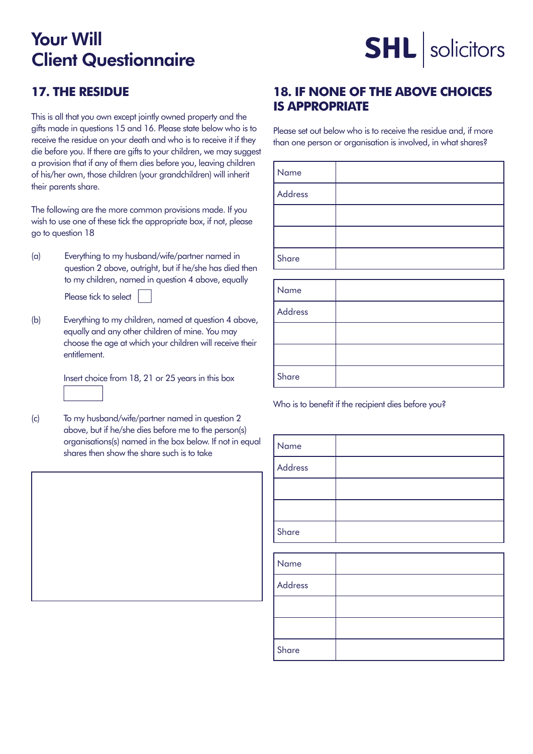## **SHL** solicitors

#### **17. THE RESIDUE**

This is all that you own except jointly owned property and the gifts made in questions 15 and 16. Please state below who is to receive the residue on your death and who is to receive it if they die before you. If there are gifts to your children, we may suggest a provision that if any of them dies before you, leaving children of his/her own, those children (your grandchildren) will inherit their parents share.

The following are the more common provisions made. If you wish to use one of these tick the appropriate box, if not, please go to question 18

(a) Everything to my husband/wife/partner named in question 2 above, outright, but if he/she has died then to my children, named in question 4 above, equally

Please tick to select

(b) Everything to my children, named at question 4 above, equally and any other children of mine. You may choose the age at which your children will receive their entitlement.

 Insert choice from 18, 21 or 25 years in this box

(c) To my husband/wife/partner named in question 2 above, but if he/she dies before me to the person(s) organisations(s) named in the box below. If not in equal shares then show the share such is to take

#### **18. IF NONE OF THE ABOVE CHOICES IS APPROPRIATE**

Please set out below who is to receive the residue and, if more than one person or organisation is involved, in what shares?

| Name    |  |
|---------|--|
| Address |  |
|         |  |
|         |  |
| Share   |  |

| Name    |  |
|---------|--|
| Address |  |
|         |  |
|         |  |
| Share   |  |

Who is to benefit if the recipient dies before you?

| Name    |  |
|---------|--|
| Address |  |
|         |  |
|         |  |
| Share   |  |
|         |  |
| l str   |  |

| Name    |  |
|---------|--|
| Address |  |
|         |  |
|         |  |
| Share   |  |